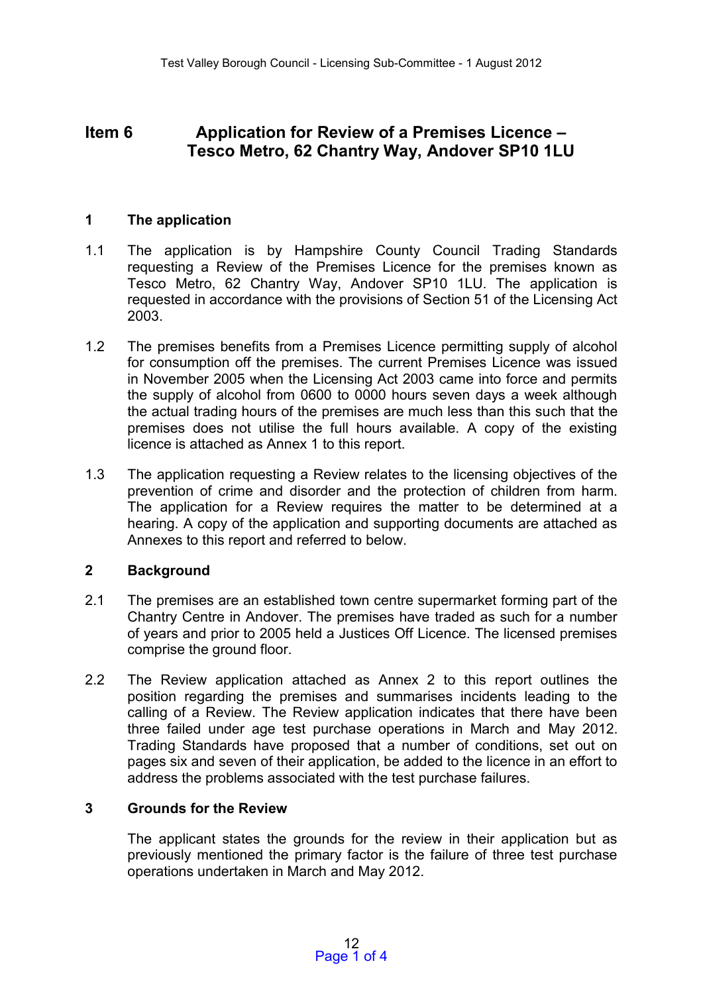# **Item 6 Application for Review of a Premises Licence – Tesco Metro, 62 Chantry Way, Andover SP10 1LU**

### **1 The application**

- 1.1 The application is by Hampshire County Council Trading Standards requesting a Review of the Premises Licence for the premises known as Tesco Metro, 62 Chantry Way, Andover SP10 1LU. The application is requested in accordance with the provisions of Section 51 of the Licensing Act 2003.
- 1.2 The premises benefits from a Premises Licence permitting supply of alcohol for consumption off the premises. The current Premises Licence was issued in November 2005 when the Licensing Act 2003 came into force and permits the supply of alcohol from 0600 to 0000 hours seven days a week although the actual trading hours of the premises are much less than this such that the premises does not utilise the full hours available. A copy of the existing licence is attached as Annex 1 to this report.
- 1.3 The application requesting a Review relates to the licensing objectives of the prevention of crime and disorder and the protection of children from harm. The application for a Review requires the matter to be determined at a hearing. A copy of the application and supporting documents are attached as Annexes to this report and referred to below.

## **2 Background**

- 2.1 The premises are an established town centre supermarket forming part of the Chantry Centre in Andover. The premises have traded as such for a number of years and prior to 2005 held a Justices Off Licence. The licensed premises comprise the ground floor.
- 2.2 The Review application attached as Annex 2 to this report outlines the position regarding the premises and summarises incidents leading to the calling of a Review. The Review application indicates that there have been three failed under age test purchase operations in March and May 2012. Trading Standards have proposed that a number of conditions, set out on pages six and seven of their application, be added to the licence in an effort to address the problems associated with the test purchase failures.

## **3 Grounds for the Review**

The applicant states the grounds for the review in their application but as previously mentioned the primary factor is the failure of three test purchase operations undertaken in March and May 2012.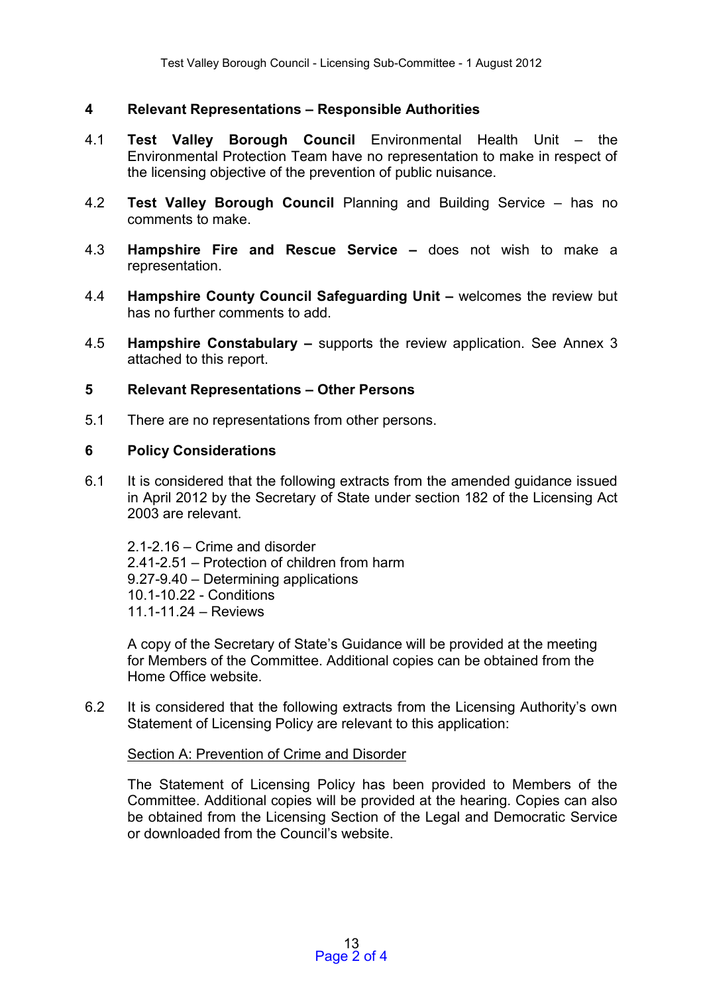# **4 Relevant Representations – Responsible Authorities**

- 4.1 **Test Valley Borough Council** Environmental Health Unit the Environmental Protection Team have no representation to make in respect of the licensing objective of the prevention of public nuisance.
- 4.2 **Test Valley Borough Council** Planning and Building Service has no comments to make.
- 4.3 **Hampshire Fire and Rescue Service –** does not wish to make a representation.
- 4.4 **Hampshire County Council Safeguarding Unit –** welcomes the review but has no further comments to add.
- 4.5 **Hampshire Constabulary –** supports the review application. See Annex 3 attached to this report.

#### **5 Relevant Representations – Other Persons**

5.1 There are no representations from other persons.

#### **6 Policy Considerations**

6.1 It is considered that the following extracts from the amended guidance issued in April 2012 by the Secretary of State under section 182 of the Licensing Act 2003 are relevant.

2.1-2.16 – Crime and disorder 2.41-2.51 – Protection of children from harm 9.27-9.40 – Determining applications 10.1-10.22 - Conditions 11.1-11.24 – Reviews

A copy of the Secretary of State's Guidance will be provided at the meeting for Members of the Committee. Additional copies can be obtained from the Home Office website.

6.2 It is considered that the following extracts from the Licensing Authority's own Statement of Licensing Policy are relevant to this application:

#### Section A: Prevention of Crime and Disorder

The Statement of Licensing Policy has been provided to Members of the Committee. Additional copies will be provided at the hearing. Copies can also be obtained from the Licensing Section of the Legal and Democratic Service or downloaded from the Council's website.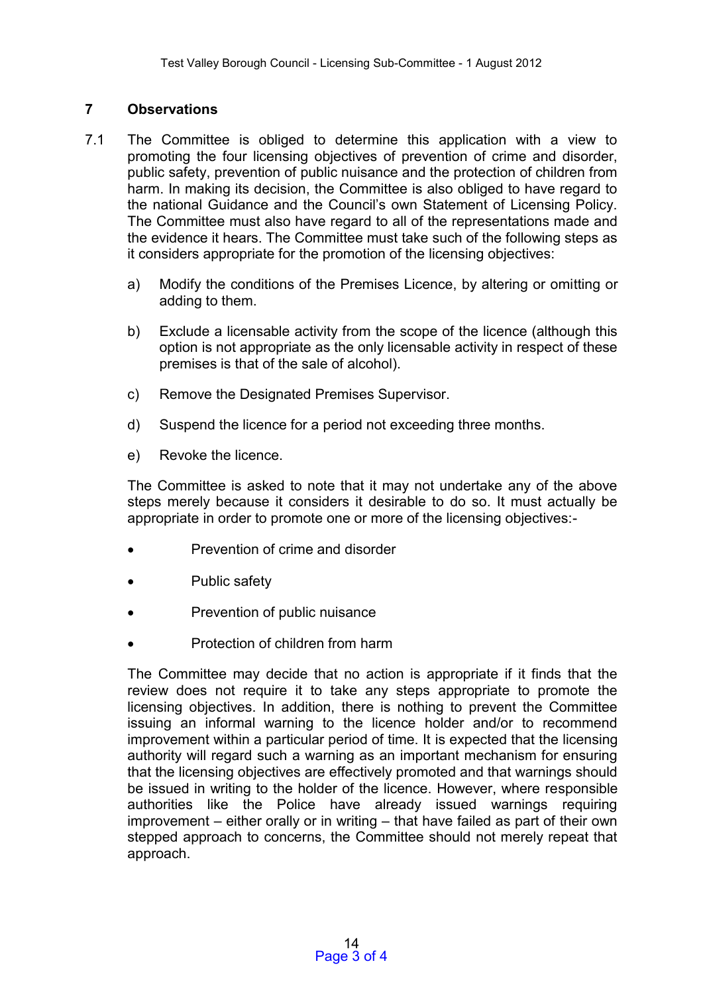# **7 Observations**

- 7.1 The Committee is obliged to determine this application with a view to promoting the four licensing objectives of prevention of crime and disorder, public safety, prevention of public nuisance and the protection of children from harm. In making its decision, the Committee is also obliged to have regard to the national Guidance and the Council's own Statement of Licensing Policy. The Committee must also have regard to all of the representations made and the evidence it hears. The Committee must take such of the following steps as it considers appropriate for the promotion of the licensing objectives:
	- a) Modify the conditions of the Premises Licence, by altering or omitting or adding to them.
	- b) Exclude a licensable activity from the scope of the licence (although this option is not appropriate as the only licensable activity in respect of these premises is that of the sale of alcohol).
	- c) Remove the Designated Premises Supervisor.
	- d) Suspend the licence for a period not exceeding three months.
	- e) Revoke the licence.

The Committee is asked to note that it may not undertake any of the above steps merely because it considers it desirable to do so. It must actually be appropriate in order to promote one or more of the licensing objectives:-

- Prevention of crime and disorder
- Public safety
- Prevention of public nuisance
- Protection of children from harm

The Committee may decide that no action is appropriate if it finds that the review does not require it to take any steps appropriate to promote the licensing objectives. In addition, there is nothing to prevent the Committee issuing an informal warning to the licence holder and/or to recommend improvement within a particular period of time. It is expected that the licensing authority will regard such a warning as an important mechanism for ensuring that the licensing objectives are effectively promoted and that warnings should be issued in writing to the holder of the licence. However, where responsible authorities like the Police have already issued warnings requiring improvement – either orally or in writing – that have failed as part of their own stepped approach to concerns, the Committee should not merely repeat that approach.